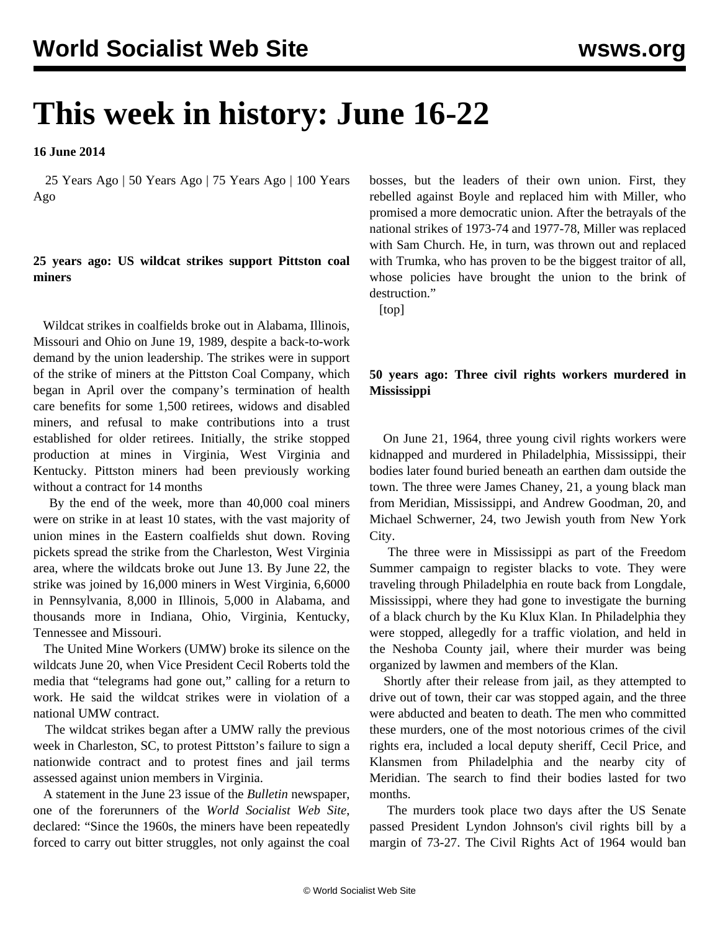# **This week in history: June 16-22**

**16 June 2014**

 25 Years Ago | 50 Years Ago | 75 Years Ago | 100 Years Ago

## **25 years ago: US wildcat strikes support Pittston coal miners**

 Wildcat strikes in coalfields broke out in Alabama, Illinois, Missouri and Ohio on June 19, 1989, despite a back-to-work demand by the union leadership. The strikes were in support of the strike of miners at the Pittston Coal Company, which began in April over the company's termination of health care benefits for some 1,500 retirees, widows and disabled miners, and refusal to make contributions into a trust established for older retirees. Initially, the strike stopped production at mines in Virginia, West Virginia and Kentucky. Pittston miners had been previously working without a contract for 14 months

 By the end of the week, more than 40,000 coal miners were on strike in at least 10 states, with the vast majority of union mines in the Eastern coalfields shut down. Roving pickets spread the strike from the Charleston, West Virginia area, where the wildcats broke out June 13. By June 22, the strike was joined by 16,000 miners in West Virginia, 6,6000 in Pennsylvania, 8,000 in Illinois, 5,000 in Alabama, and thousands more in Indiana, Ohio, Virginia, Kentucky, Tennessee and Missouri.

 The United Mine Workers (UMW) broke its silence on the wildcats June 20, when Vice President Cecil Roberts told the media that "telegrams had gone out," calling for a return to work. He said the wildcat strikes were in violation of a national UMW contract.

 The wildcat strikes began after a UMW rally the previous week in Charleston, SC, to protest Pittston's failure to sign a nationwide contract and to protest fines and jail terms assessed against union members in Virginia.

 A statement in the June 23 issue of the *Bulletin* newspaper, one of the forerunners of the *World Socialist Web Site*, declared: "Since the 1960s, the miners have been repeatedly forced to carry out bitter struggles, not only against the coal bosses, but the leaders of their own union. First, they rebelled against Boyle and replaced him with Miller, who promised a more democratic union. After the betrayals of the national strikes of 1973-74 and 1977-78, Miller was replaced with Sam Church. He, in turn, was thrown out and replaced with Trumka, who has proven to be the biggest traitor of all, whose policies have brought the union to the brink of destruction."

[top]

# **50 years ago: Three civil rights workers murdered in Mississippi**

 On June 21, 1964, three young civil rights workers were kidnapped and murdered in Philadelphia, Mississippi, their bodies later found buried beneath an earthen dam outside the town. The three were James Chaney, 21, a young black man from Meridian, Mississippi, and Andrew Goodman, 20, and Michael Schwerner, 24, two Jewish youth from New York City.

 The three were in Mississippi as part of the Freedom Summer campaign to register blacks to vote. They were traveling through Philadelphia en route back from Longdale, Mississippi, where they had gone to investigate the burning of a black church by the Ku Klux Klan. In Philadelphia they were stopped, allegedly for a traffic violation, and held in the Neshoba County jail, where their murder was being organized by lawmen and members of the Klan.

 Shortly after their release from jail, as they attempted to drive out of town, their car was stopped again, and the three were abducted and beaten to death. The men who committed these murders, one of the most notorious crimes of the civil rights era, included a local deputy sheriff, Cecil Price, and Klansmen from Philadelphia and the nearby city of Meridian. The search to find their bodies lasted for two months.

 The murders took place two days after the US Senate passed President Lyndon Johnson's civil rights bill by a margin of 73-27. The Civil Rights Act of 1964 would ban